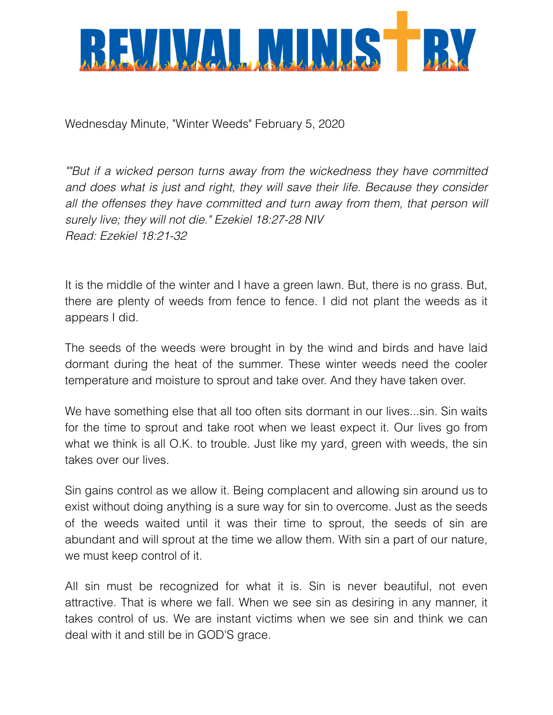

Wednesday Minute, "Winter Weeds" February 5, 2020

*""But if a wicked person turns away from the wickedness they have committed and does what is just and right, they will save their life. Because they consider*  all the offenses they have committed and turn away from them, that person will *surely live; they will not die." Ezekiel 18:27-28 NIV Read: Ezekiel 18:21-32* 

It is the middle of the winter and I have a green lawn. But, there is no grass. But, there are plenty of weeds from fence to fence. I did not plant the weeds as it appears I did.

The seeds of the weeds were brought in by the wind and birds and have laid dormant during the heat of the summer. These winter weeds need the cooler temperature and moisture to sprout and take over. And they have taken over.

We have something else that all too often sits dormant in our lives...sin. Sin waits for the time to sprout and take root when we least expect it. Our lives go from what we think is all O.K. to trouble. Just like my yard, green with weeds, the sin takes over our lives.

Sin gains control as we allow it. Being complacent and allowing sin around us to exist without doing anything is a sure way for sin to overcome. Just as the seeds of the weeds waited until it was their time to sprout, the seeds of sin are abundant and will sprout at the time we allow them. With sin a part of our nature, we must keep control of it.

All sin must be recognized for what it is. Sin is never beautiful, not even attractive. That is where we fall. When we see sin as desiring in any manner, it takes control of us. We are instant victims when we see sin and think we can deal with it and still be in GOD'S grace.